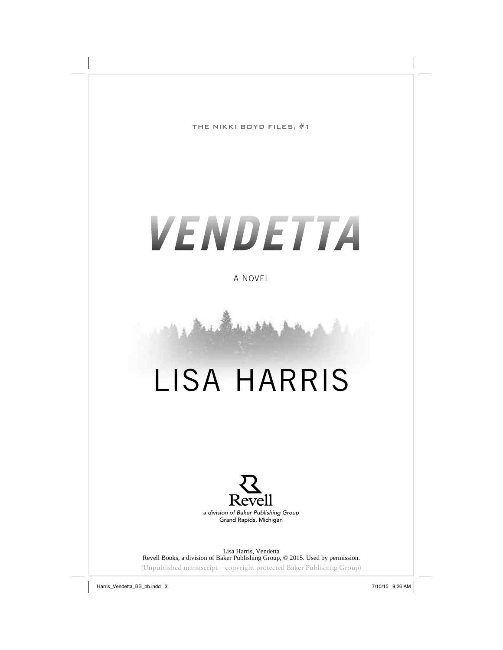## **VENDETTA**

A NOVEL

### LISA HARRIS



(Unpublished manuscript—copyright protected Baker Publishing Group) Lisa Harris, Vendetta Revell Books, a division of Baker Publishing Group, © 2015. Used by permission.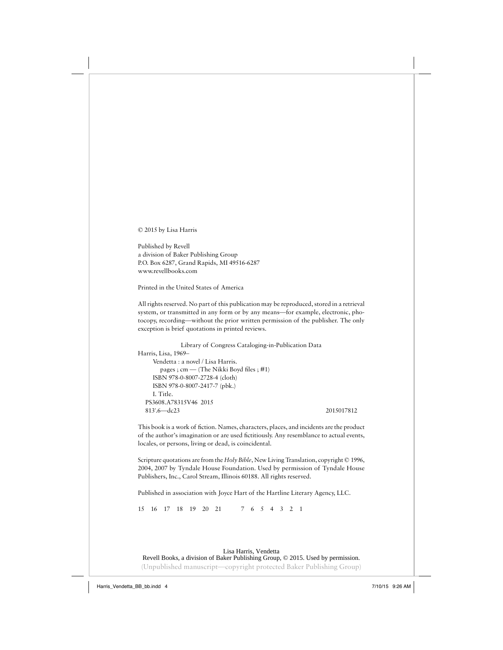© 2015 by Lisa Harris

Published by Revell a division of Baker Publishing Group P.O. Box 6287, Grand Rapids, MI 49516-6287 www.revellbooks.com

Printed in the United States of America

All rights reserved. No part of this publication may be reproduced, stored in a retrieval system, or transmitted in any form or by any means—for example, electronic, photocopy, recording—without the prior written permission of the publisher. The only exception is brief quotations in printed reviews.

Library of Congress Cataloging-in-Publication Data Harris, Lisa, 1969– Vendetta : a novel / Lisa Harris. pages ; cm — (The Nikki Boyd files ; #1) ISBN 978-0-8007-2728-4 (cloth) ISBN 978-0-8007-2417-7 (pbk.) I. Title. PS3608.A78315V46 2015  $813'$   $\leftarrow$  dc<sup>23</sup>

This book is a work of fiction. Names, characters, places, and incidents are the product of the author's imagination or are used fictitiously. Any resemblance to actual events, locales, or persons, living or dead, is coincidental.

Scripture quotations are from the *Holy Bible*, New Living Translation, copyright © 1996, 2004, 2007 by Tyndale House Foundation. Used by permission of Tyndale House Publishers, Inc., Carol Stream, Illinois 60188. All rights reserved.

Published in association with Joyce Hart of the Hartline Literary Agency, LLC.

15 16 17 18 19 20 21 7 6 5 4 3 2 1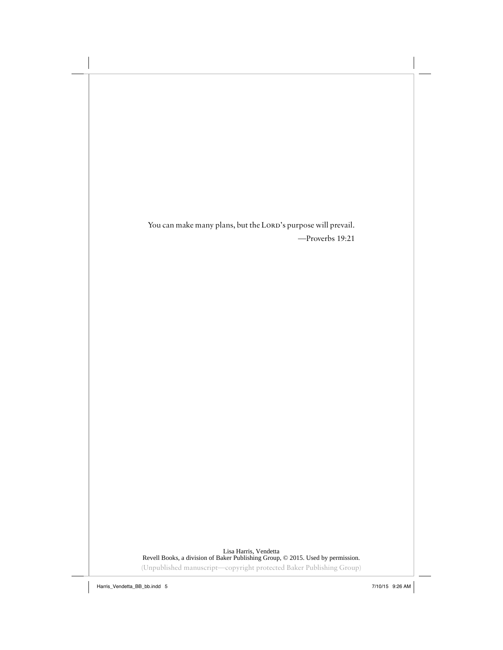You can make many plans, but the LORD's purpose will prevail. —Proverbs 19:21

(Unpublished manuscript—copyright protected Baker Publishing Group) Lisa Harris, Vendetta Revell Books, a division of Baker Publishing Group, © 2015. Used by permission.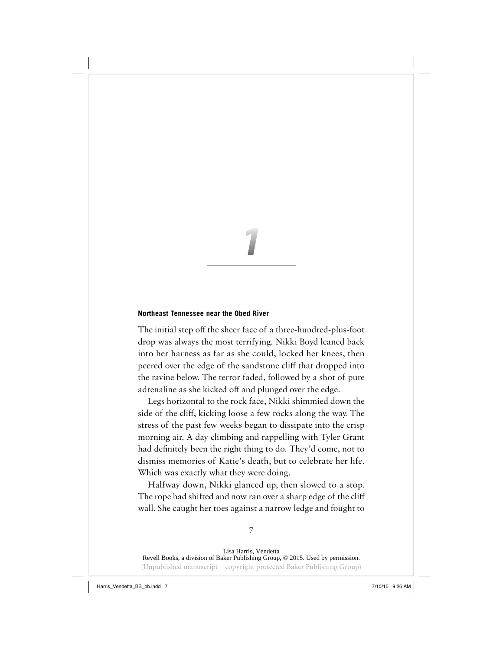# **1**

### **Northeast Tennessee near the Obed River**

The initial step off the sheer face of a three-hundred-plus-foot drop was always the most terrifying. Nikki Boyd leaned back into her harness as far as she could, locked her knees, then peered over the edge of the sandstone cliff that dropped into the ravine below. The terror faded, followed by a shot of pure adrenaline as she kicked off and plunged over the edge.

Legs horizontal to the rock face, Nikki shimmied down the side of the cliff, kicking loose a few rocks along the way. The stress of the past few weeks began to dissipate into the crisp morning air. A day climbing and rappelling with Tyler Grant had definitely been the right thing to do. They'd come, not to dismiss memories of Katie's death, but to celebrate her life. Which was exactly what they were doing.

Halfway down, Nikki glanced up, then slowed to a stop. The rope had shifted and now ran over a sharp edge of the cliff wall. She caught her toes against a narrow ledge and fought to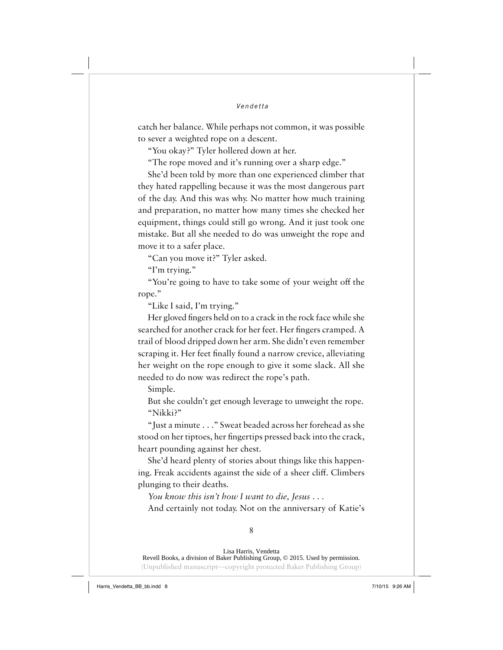catch her balance. While perhaps not common, it was possible to sever a weighted rope on a descent.

"You okay?" Tyler hollered down at her.

"The rope moved and it's running over a sharp edge."

She'd been told by more than one experienced climber that they hated rappelling because it was the most dangerous part of the day. And this was why. No matter how much training and preparation, no matter how many times she checked her equipment, things could still go wrong. And it just took one mistake. But all she needed to do was unweight the rope and move it to a safer place.

"Can you move it?" Tyler asked.

"I'm trying."

"You're going to have to take some of your weight off the rope."

"Like I said, I'm trying."

Her gloved fingers held on to a crack in the rock face while she searched for another crack for her feet. Her fingers cramped. A trail of blood dripped down her arm. She didn't even remember scraping it. Her feet finally found a narrow crevice, alleviating her weight on the rope enough to give it some slack. All she needed to do now was redirect the rope's path.

Simple.

But she couldn't get enough leverage to unweight the rope. "Nikki?"

"Just a minute . . ." Sweat beaded across her forehead as she stood on her tiptoes, her fingertips pressed back into the crack, heart pounding against her chest.

She'd heard plenty of stories about things like this happening. Freak accidents against the side of a sheer cliff. Climbers plunging to their deaths.

*You know this isn't how I want to die, Jesus . . .*

And certainly not today. Not on the anniversary of Katie's

### 8

Lisa Harris, Vendetta

Revell Books, a division of Baker Publishing Group, © 2015. Used by permission.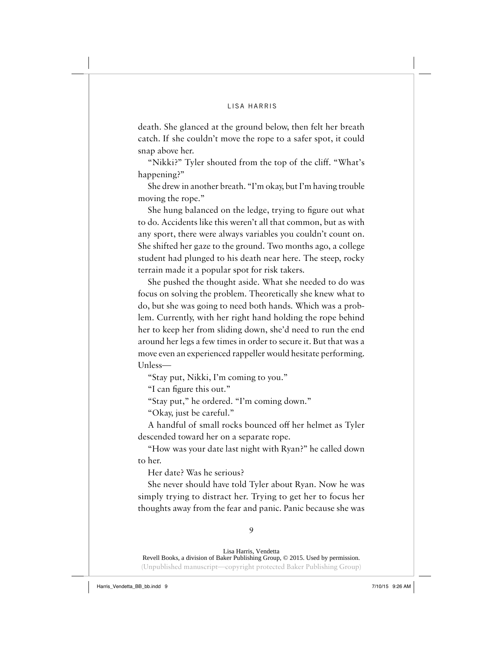death. She glanced at the ground below, then felt her breath catch. If she couldn't move the rope to a safer spot, it could snap above her.

"Nikki?" Tyler shouted from the top of the cliff. "What's happening?"

She drew in another breath. "I'm okay, but I'm having trouble moving the rope."

She hung balanced on the ledge, trying to figure out what to do. Accidents like this weren't all that common, but as with any sport, there were always variables you couldn't count on. She shifted her gaze to the ground. Two months ago, a college student had plunged to his death near here. The steep, rocky terrain made it a popular spot for risk takers.

She pushed the thought aside. What she needed to do was focus on solving the problem. Theoretically she knew what to do, but she was going to need both hands. Which was a problem. Currently, with her right hand holding the rope behind her to keep her from sliding down, she'd need to run the end around her legs a few times in order to secure it. But that was a move even an experienced rappeller would hesitate performing. Unless—

"Stay put, Nikki, I'm coming to you."

"I can figure this out."

"Stay put," he ordered. "I'm coming down."

"Okay, just be careful."

A handful of small rocks bounced off her helmet as Tyler descended toward her on a separate rope.

"How was your date last night with Ryan?" he called down to her.

Her date? Was he serious?

She never should have told Tyler about Ryan. Now he was simply trying to distract her. Trying to get her to focus her thoughts away from the fear and panic. Panic because she was

Lisa Harris, Vendetta

Revell Books, a division of Baker Publishing Group, © 2015. Used by permission.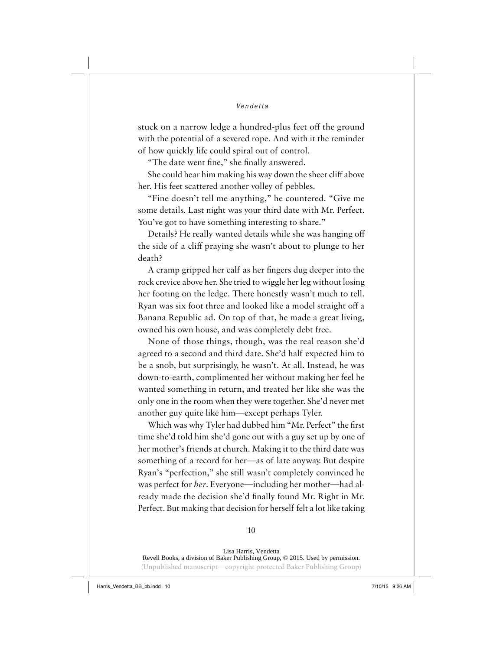stuck on a narrow ledge a hundred-plus feet off the ground with the potential of a severed rope. And with it the reminder of how quickly life could spiral out of control.

"The date went fine," she finally answered.

She could hear him making his way down the sheer cliff above her. His feet scattered another volley of pebbles.

"Fine doesn't tell me anything," he countered. "Give me some details. Last night was your third date with Mr. Perfect. You've got to have something interesting to share."

Details? He really wanted details while she was hanging off the side of a cliff praying she wasn't about to plunge to her death?

A cramp gripped her calf as her fingers dug deeper into the rock crevice above her. She tried to wiggle her leg without losing her footing on the ledge. There honestly wasn't much to tell. Ryan was six foot three and looked like a model straight off a Banana Republic ad. On top of that, he made a great living, owned his own house, and was completely debt free.

None of those things, though, was the real reason she'd agreed to a second and third date. She'd half expected him to be a snob, but surprisingly, he wasn't. At all. Instead, he was down-to-earth, complimented her without making her feel he wanted something in return, and treated her like she was the only one in the room when they were together. She'd never met another guy quite like him—except perhaps Tyler.

Which was why Tyler had dubbed him "Mr. Perfect" the first time she'd told him she'd gone out with a guy set up by one of her mother's friends at church. Making it to the third date was something of a record for her—as of late anyway. But despite Ryan's "perfection," she still wasn't completely convinced he was perfect for *her*. Everyone—including her mother—had already made the decision she'd finally found Mr. Right in Mr. Perfect. But making that decision for herself felt a lot like taking

10

(Unpublished manuscript—copyright protected Baker Publishing Group) Lisa Harris, Vendetta Revell Books, a division of Baker Publishing Group, © 2015. Used by permission.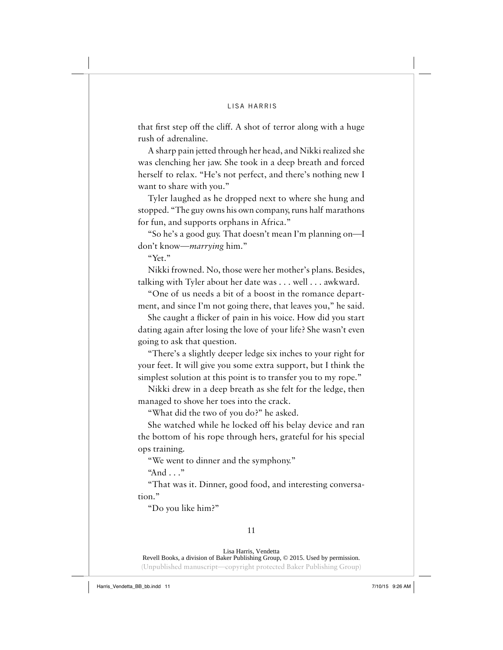that first step off the cliff. A shot of terror along with a huge rush of adrenaline.

A sharp pain jetted through her head, and Nikki realized she was clenching her jaw. She took in a deep breath and forced herself to relax. "He's not perfect, and there's nothing new I want to share with you."

Tyler laughed as he dropped next to where she hung and stopped. "The guy owns his own company, runs half marathons for fun, and supports orphans in Africa."

"So he's a good guy. That doesn't mean I'm planning on—I don't know—*marrying* him."

"Yet"

Nikki frowned. No, those were her mother's plans. Besides, talking with Tyler about her date was . . . well . . . awkward.

"One of us needs a bit of a boost in the romance department, and since I'm not going there, that leaves you," he said.

She caught a flicker of pain in his voice. How did you start dating again after losing the love of your life? She wasn't even going to ask that question.

"There's a slightly deeper ledge six inches to your right for your feet. It will give you some extra support, but I think the simplest solution at this point is to transfer you to my rope."

Nikki drew in a deep breath as she felt for the ledge, then managed to shove her toes into the crack.

"What did the two of you do?" he asked.

She watched while he locked off his belay device and ran the bottom of his rope through hers, grateful for his special ops training.

"We went to dinner and the symphony."

" $And \dots$ "

"That was it. Dinner, good food, and interesting conversation."

"Do you like him?"

### 11

### Lisa Harris, Vendetta

Revell Books, a division of Baker Publishing Group, © 2015. Used by permission.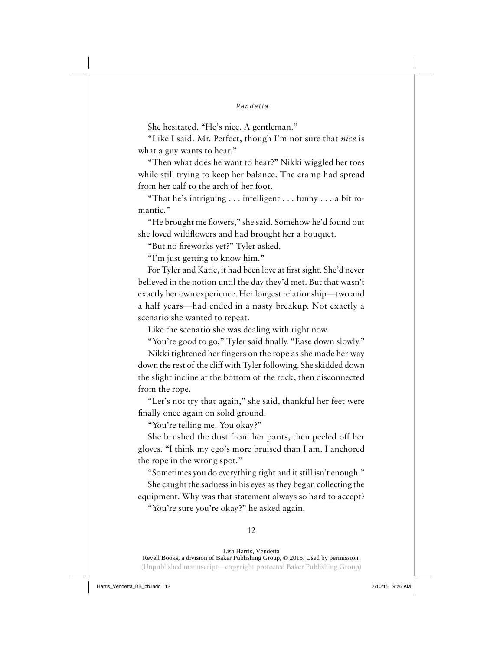She hesitated. "He's nice. A gentleman."

"Like I said. Mr. Perfect, though I'm not sure that *nice* is what a guy wants to hear."

"Then what does he want to hear?" Nikki wiggled her toes while still trying to keep her balance. The cramp had spread from her calf to the arch of her foot.

"That he's intriguing . . . intelligent . . . funny . . . a bit romantic."

"He brought me flowers," she said. Somehow he'd found out she loved wildflowers and had brought her a bouquet.

"But no fireworks yet?" Tyler asked.

"I'm just getting to know him."

For Tyler and Katie, it had been love at first sight. She'd never believed in the notion until the day they'd met. But that wasn't exactly her own experience. Her longest relationship—two and a half years—had ended in a nasty breakup. Not exactly a scenario she wanted to repeat.

Like the scenario she was dealing with right now.

"You're good to go," Tyler said finally. "Ease down slowly."

Nikki tightened her fingers on the rope as she made her way down the rest of the cliff with Tyler following. She skidded down the slight incline at the bottom of the rock, then disconnected from the rope.

"Let's not try that again," she said, thankful her feet were finally once again on solid ground.

"You're telling me. You okay?"

She brushed the dust from her pants, then peeled off her gloves. "I think my ego's more bruised than I am. I anchored the rope in the wrong spot."

"Sometimes you do everything right and it still isn't enough."

She caught the sadness in his eyes as they began collecting the equipment. Why was that statement always so hard to accept?

"You're sure you're okay?" he asked again.

Lisa Harris, Vendetta

Revell Books, a division of Baker Publishing Group, © 2015. Used by permission.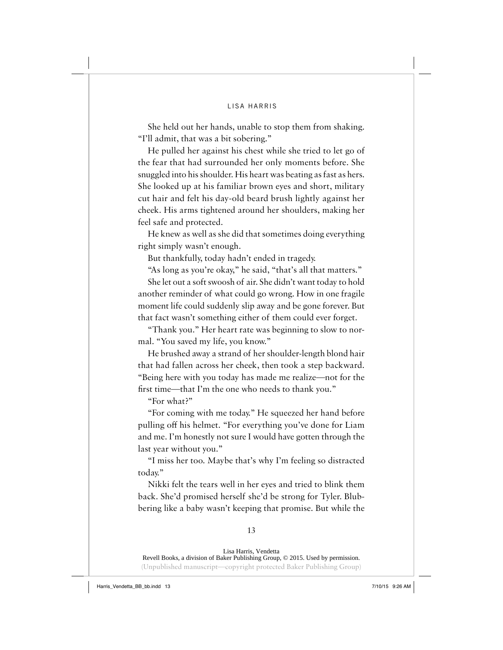She held out her hands, unable to stop them from shaking. "I'll admit, that was a bit sobering."

He pulled her against his chest while she tried to let go of the fear that had surrounded her only moments before. She snuggled into his shoulder. His heart was beating as fast as hers. She looked up at his familiar brown eyes and short, military cut hair and felt his day-old beard brush lightly against her cheek. His arms tightened around her shoulders, making her feel safe and protected.

He knew as well as she did that sometimes doing everything right simply wasn't enough.

But thankfully, today hadn't ended in tragedy.

"As long as you're okay," he said, "that's all that matters."

She let out a soft swoosh of air. She didn't want today to hold another reminder of what could go wrong. How in one fragile moment life could suddenly slip away and be gone forever. But that fact wasn't something either of them could ever forget.

"Thank you." Her heart rate was beginning to slow to normal. "You saved my life, you know."

He brushed away a strand of her shoulder-length blond hair that had fallen across her cheek, then took a step backward. "Being here with you today has made me realize—not for the first time—that I'm the one who needs to thank you."

"For what?"

"For coming with me today." He squeezed her hand before pulling off his helmet. "For everything you've done for Liam and me. I'm honestly not sure I would have gotten through the last year without you."

"I miss her too. Maybe that's why I'm feeling so distracted today."

Nikki felt the tears well in her eyes and tried to blink them back. She'd promised herself she'd be strong for Tyler. Blubbering like a baby wasn't keeping that promise. But while the

Revell Books, a division of Baker Publishing Group, © 2015. Used by permission.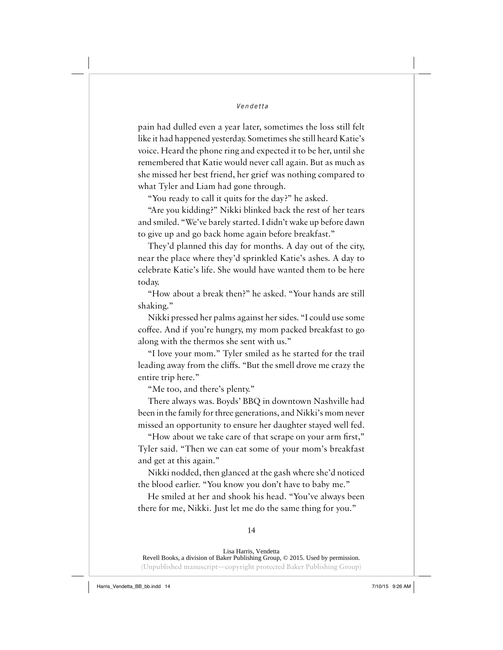pain had dulled even a year later, sometimes the loss still felt like it had happened yesterday. Sometimes she still heard Katie's voice. Heard the phone ring and expected it to be her, until she remembered that Katie would never call again. But as much as she missed her best friend, her grief was nothing compared to what Tyler and Liam had gone through.

"You ready to call it quits for the day?" he asked.

"Are you kidding?" Nikki blinked back the rest of her tears and smiled. "We've barely started. I didn't wake up before dawn to give up and go back home again before breakfast."

They'd planned this day for months. A day out of the city, near the place where they'd sprinkled Katie's ashes. A day to celebrate Katie's life. She would have wanted them to be here today.

"How about a break then?" he asked. "Your hands are still shaking."

Nikki pressed her palms against her sides. "I could use some coffee. And if you're hungry, my mom packed breakfast to go along with the thermos she sent with us."

"I love your mom." Tyler smiled as he started for the trail leading away from the cliffs. "But the smell drove me crazy the entire trip here."

"Me too, and there's plenty."

There always was. Boyds' BBQ in downtown Nashville had been in the family for three generations, and Nikki's mom never missed an opportunity to ensure her daughter stayed well fed.

"How about we take care of that scrape on your arm first," Tyler said. "Then we can eat some of your mom's breakfast and get at this again."

Nikki nodded, then glanced at the gash where she'd noticed the blood earlier. "You know you don't have to baby me."

He smiled at her and shook his head. "You've always been there for me, Nikki. Just let me do the same thing for you."

Lisa Harris, Vendetta

Revell Books, a division of Baker Publishing Group, © 2015. Used by permission.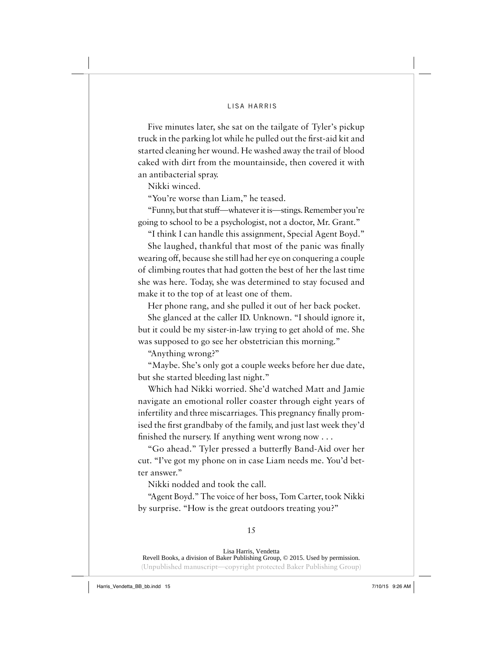Five minutes later, she sat on the tailgate of Tyler's pickup truck in the parking lot while he pulled out the first-aid kit and started cleaning her wound. He washed away the trail of blood caked with dirt from the mountainside, then covered it with an antibacterial spray.

Nikki winced.

"You're worse than Liam," he teased.

"Funny, but that stuff—whatever it is—stings. Remember you're going to school to be a psychologist, not a doctor, Mr. Grant."

"I think I can handle this assignment, Special Agent Boyd."

She laughed, thankful that most of the panic was finally wearing off, because she still had her eye on conquering a couple of climbing routes that had gotten the best of her the last time she was here. Today, she was determined to stay focused and make it to the top of at least one of them.

Her phone rang, and she pulled it out of her back pocket.

She glanced at the caller ID. Unknown. "I should ignore it, but it could be my sister-in-law trying to get ahold of me. She was supposed to go see her obstetrician this morning."

"Anything wrong?"

"Maybe. She's only got a couple weeks before her due date, but she started bleeding last night."

Which had Nikki worried. She'd watched Matt and Jamie navigate an emotional roller coaster through eight years of infertility and three miscarriages. This pregnancy finally promised the first grandbaby of the family, and just last week they'd finished the nursery. If anything went wrong now . . .

"Go ahead." Tyler pressed a butterfly Band-Aid over her cut. "I've got my phone on in case Liam needs me. You'd better answer."

Nikki nodded and took the call.

"Agent Boyd." The voice of her boss, Tom Carter, took Nikki by surprise. "How is the great outdoors treating you?"

### 15

Lisa Harris, Vendetta

Revell Books, a division of Baker Publishing Group, © 2015. Used by permission.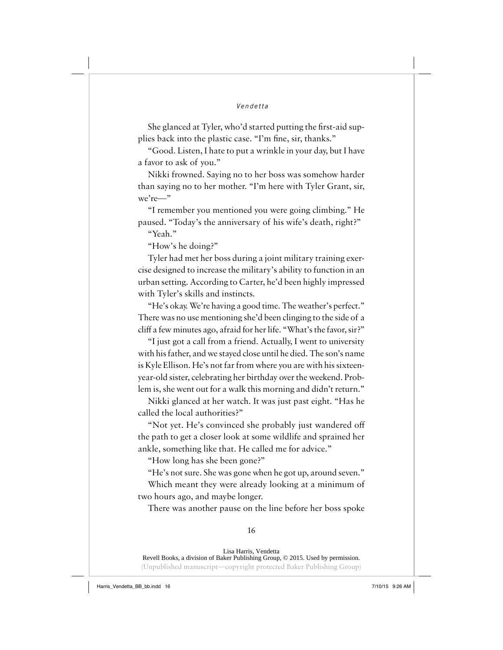She glanced at Tyler, who'd started putting the first-aid supplies back into the plastic case. "I'm fine, sir, thanks."

"Good. Listen, I hate to put a wrinkle in your day, but I have a favor to ask of you."

Nikki frowned. Saying no to her boss was somehow harder than saying no to her mother. "I'm here with Tyler Grant, sir,  $we're$ —"

"I remember you mentioned you were going climbing." He paused. "Today's the anniversary of his wife's death, right?"

"Yeah."

"How's he doing?"

Tyler had met her boss during a joint military training exercise designed to increase the military's ability to function in an urban setting. According to Carter, he'd been highly impressed with Tyler's skills and instincts.

"He's okay. We're having a good time. The weather's perfect." There was no use mentioning she'd been clinging to the side of a cliff a few minutes ago, afraid for her life. "What's the favor, sir?"

"I just got a call from a friend. Actually, I went to university with his father, and we stayed close until he died. The son's name is Kyle Ellison. He's not far from where you are with his sixteenyear-old sister, celebrating her birthday over the weekend. Problem is, she went out for a walk this morning and didn't return."

Nikki glanced at her watch. It was just past eight. "Has he called the local authorities?"

"Not yet. He's convinced she probably just wandered off the path to get a closer look at some wildlife and sprained her ankle, something like that. He called me for advice."

"How long has she been gone?"

"He's not sure. She was gone when he got up, around seven."

Which meant they were already looking at a minimum of two hours ago, and maybe longer.

There was another pause on the line before her boss spoke

Lisa Harris, Vendetta

Revell Books, a division of Baker Publishing Group, © 2015. Used by permission.